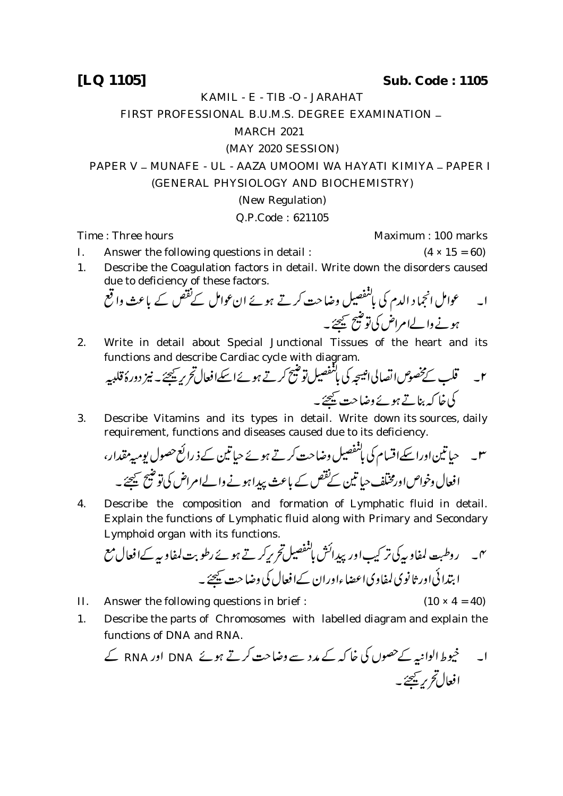**[LQ 1105] Sub. Code : 1105**

KAMIL - E - TIB -O - JARAHAT

FIRST PROFESSIONAL B.U.M.S. DEGREE EXAMINATION -

## MARCH 2021

## (MAY 2020 SESSION)

PAPER V - MUNAFE - UL - AAZA UMOOMI WA HAYATI KIMIYA - PAPER I

(GENERAL PHYSIOLOGY AND BIOCHEMISTRY)

## (New Regulation)

## Q.P.Code : 621105

Time : Three hours Maximum : 100 marks

- I. Answer the following questions in detail :  $(4 \times 15 = 60)$
- 1. Describe the Coagulation factors in detail. Write down the disorders caused due to deficiency of these factors.  $\ddot{\phantom{0}}$

 

2. Write in detail about Special Junctional Tissues of the heart and its

functions and describe Cardiac cycle with diagram. 

3. Describe Vitamins and its types in detail. Write down its sources, daily requirement, functions and diseases caused due to its deficiency.

 

4. Describe the composition and formation of Lymphatic fluid in detail. Explain the functions of Lymphatic fluid along with Primary and Secondary Lymphoid organ with its functions.

 

- II. Answer the following questions in brief :  $(10 \times 4 = 40)$
- 1. Describe the parts of Chromosomes with labelled diagram and explain the functions of DNA and RNA.

 RNA DNA